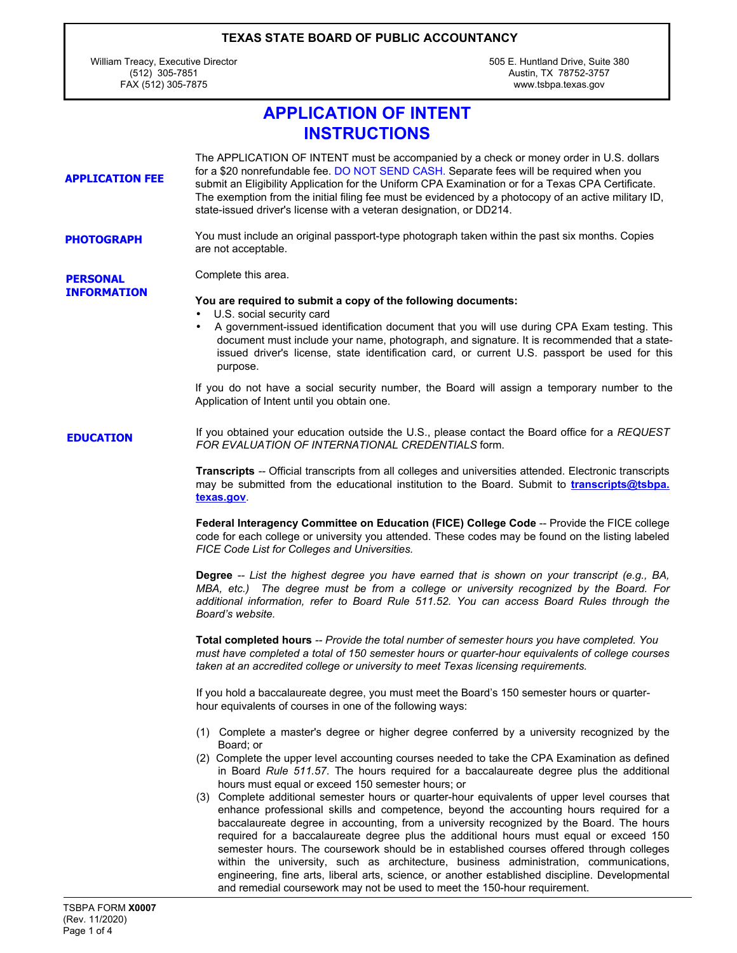William Treacy, Executive Director (512) 305-7851 FAX (512) 305-7875

505 E. Huntland Drive, Suite 380 Austin, TX 78752-3757 www.tsbpa.texas.gov

## **APPLICATION OF INTENT INSTRUCTIONS**

| <b>APPLICATION FEE</b>                | The APPLICATION OF INTENT must be accompanied by a check or money order in U.S. dollars<br>for a \$20 nonrefundable fee. DO NOT SEND CASH. Separate fees will be required when you<br>submit an Eligibility Application for the Uniform CPA Examination or for a Texas CPA Certificate.<br>The exemption from the initial filing fee must be evidenced by a photocopy of an active military ID,<br>state-issued driver's license with a veteran designation, or DD214.                                                                                                                                                                                                                                                                                                                                                                                                                                                                                                                                                                                                                                                                                                                                                                                                        |
|---------------------------------------|-------------------------------------------------------------------------------------------------------------------------------------------------------------------------------------------------------------------------------------------------------------------------------------------------------------------------------------------------------------------------------------------------------------------------------------------------------------------------------------------------------------------------------------------------------------------------------------------------------------------------------------------------------------------------------------------------------------------------------------------------------------------------------------------------------------------------------------------------------------------------------------------------------------------------------------------------------------------------------------------------------------------------------------------------------------------------------------------------------------------------------------------------------------------------------------------------------------------------------------------------------------------------------|
| <b>PHOTOGRAPH</b>                     | You must include an original passport-type photograph taken within the past six months. Copies<br>are not acceptable.                                                                                                                                                                                                                                                                                                                                                                                                                                                                                                                                                                                                                                                                                                                                                                                                                                                                                                                                                                                                                                                                                                                                                         |
| <b>PERSONAL</b><br><b>INFORMATION</b> | Complete this area.<br>You are required to submit a copy of the following documents:<br>U.S. social security card<br>A government-issued identification document that you will use during CPA Exam testing. This<br>$\bullet$<br>document must include your name, photograph, and signature. It is recommended that a state-<br>issued driver's license, state identification card, or current U.S. passport be used for this<br>purpose.<br>If you do not have a social security number, the Board will assign a temporary number to the<br>Application of Intent until you obtain one.                                                                                                                                                                                                                                                                                                                                                                                                                                                                                                                                                                                                                                                                                      |
| <b>EDUCATION</b>                      | If you obtained your education outside the U.S., please contact the Board office for a REQUEST<br>FOR EVALUATION OF INTERNATIONAL CREDENTIALS form.<br>Transcripts -- Official transcripts from all colleges and universities attended. Electronic transcripts<br>may be submitted from the educational institution to the Board. Submit to <i>transcripts@tsbpa.</i><br>texas.gov<br>Federal Interagency Committee on Education (FICE) College Code -- Provide the FICE college<br>code for each college or university you attended. These codes may be found on the listing labeled<br>FICE Code List for Colleges and Universities.<br>Degree -- List the highest degree you have earned that is shown on your transcript (e.g., BA,<br>MBA, etc.) The degree must be from a college or university recognized by the Board. For<br>additional information, refer to Board Rule 511.52. You can access Board Rules through the<br>Board's website.<br>Total completed hours -- Provide the total number of semester hours you have completed. You<br>must have completed a total of 150 semester hours or quarter-hour equivalents of college courses<br>taken at an accredited college or university to meet Texas licensing requirements.                                 |
|                                       | If you hold a baccalaureate degree, you must meet the Board's 150 semester hours or quarter-<br>hour equivalents of courses in one of the following ways:<br>(1) Complete a master's degree or higher degree conferred by a university recognized by the<br>Board; or<br>(2) Complete the upper level accounting courses needed to take the CPA Examination as defined<br>in Board Rule 511.57. The hours required for a baccalaureate degree plus the additional<br>hours must equal or exceed 150 semester hours; or<br>(3) Complete additional semester hours or quarter-hour equivalents of upper level courses that<br>enhance professional skills and competence, beyond the accounting hours required for a<br>baccalaureate degree in accounting, from a university recognized by the Board. The hours<br>required for a baccalaureate degree plus the additional hours must equal or exceed 150<br>semester hours. The coursework should be in established courses offered through colleges<br>within the university, such as architecture, business administration, communications,<br>engineering, fine arts, liberal arts, science, or another established discipline. Developmental<br>and remedial coursework may not be used to meet the 150-hour requirement. |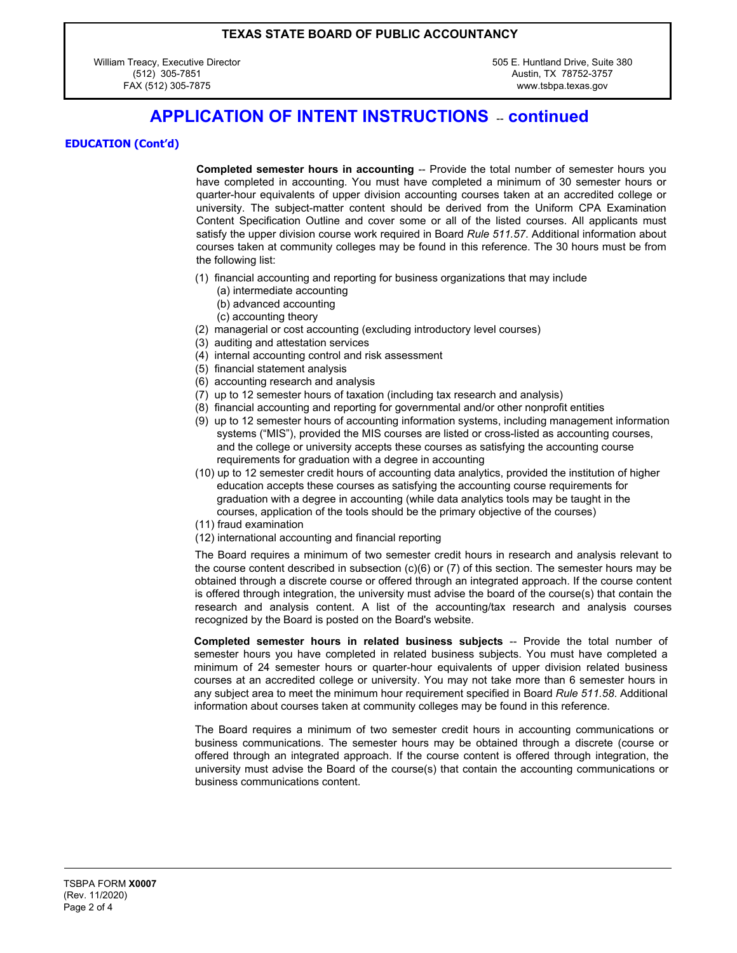William Treacy, Executive Director (512) 305-7851 FAX (512) 305-7875

505 E. Huntland Drive, Suite 380 Austin, TX 78752-3757 www.tsbpa.texas.gov

### **APPLICATION OF INTENT INSTRUCTIONS - continued**

#### **EDUCATION (Cont'd)**

**Completed semester hours in accounting** -- Provide the total number of semester hours you have completed in accounting. You must have completed a minimum of 30 semester hours or quarter-hour equivalents of upper division accounting courses taken at an accredited college or university. The subject-matter content should be derived from the Uniform CPA Examination Content Specification Outline and cover some or all of the listed courses. All applicants must satisfy the upper division course work required in Board *Rule 511.57*. Additional information about courses taken at community colleges may be found in this reference. The 30 hours must be from the following list:

- (1) financial accounting and reporting for business organizations that may include
	- (a) intermediate accounting
	- (b) advanced accounting
	- (c) accounting theory
- (2) managerial or cost accounting (excluding introductory level courses)
- (3) auditing and attestation services
- (4) internal accounting control and risk assessment
- (5) financial statement analysis
- (6) accounting research and analysis
- (7) up to 12 semester hours of taxation (including tax research and analysis)
- (8) financial accounting and reporting for governmental and/or other nonprofit entities
- (9) up to 12 semester hours of accounting information systems, including management information systems ("MIS"), provided the MIS courses are listed or cross-listed as accounting courses, and the college or university accepts these courses as satisfying the accounting course requirements for graduation with a degree in accounting
- (10) up to 12 semester credit hours of accounting data analytics, provided the institution of higher education accepts these courses as satisfying the accounting course requirements for graduation with a degree in accounting (while data analytics tools may be taught in the courses, application of the tools should be the primary objective of the courses)
- (11) fraud examination
- (12) international accounting and financial reporting

The Board requires a minimum of two semester credit hours in research and analysis relevant to the course content described in subsection (c)(6) or (7) of this section. The semester hours may be obtained through a discrete course or offered through an integrated approach. If the course content is offered through integration, the university must advise the board of the course(s) that contain the research and analysis content. A list of the accounting/tax research and analysis courses recognized by the Board is posted on the Board's website.

**Completed semester hours in related business subjects** -- Provide the total number of semester hours you have completed in related business subjects. You must have completed a minimum of 24 semester hours or quarter-hour equivalents of upper division related business courses at an accredited college or university. You may not take more than 6 semester hours in any subject area to meet the minimum hour requirement specified in Board *Rule 511.58*. Additional information about courses taken at community colleges may be found in this reference.

The Board requires a minimum of two semester credit hours in accounting communications or business communications. The semester hours may be obtained through a discrete (course or offered through an integrated approach. If the course content is offered through integration, the university must advise the Board of the course(s) that contain the accounting communications or business communications content.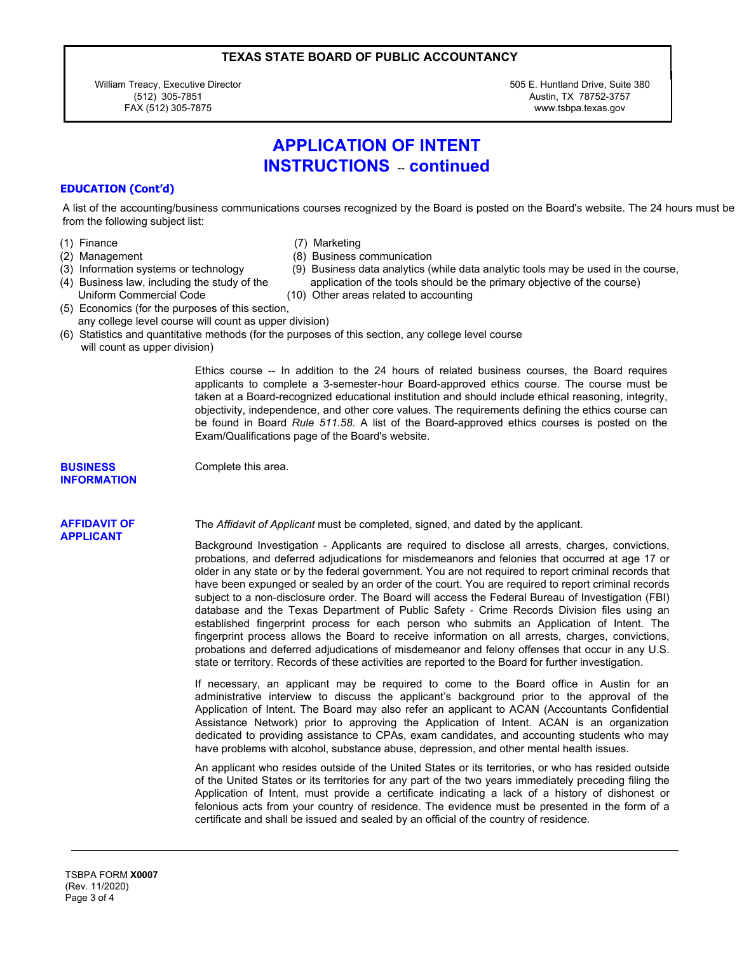William Treacy, Executive Director (512) 305-7851 FAX (512) 305-7875

505 E. Huntland Drive, Suite 380 Austin, TX 78752-3757 www.tsbpa.texas.gov

## **APPLICATION OF INTENT INSTRUCTIONS** - continued

#### **EDUCATION (Cont'd)**

A list of the accounting/business communications courses recognized by the Board is posted on the Board's website. The 24 hours must be from the following subject list:

- 
- (1) Finance (7) Marketing
- (2) Management (8) Business communication
- (3) Information systems or technology (9) Business data analytics (while data analytic tools may be used in the course,
- Uniform Commercial Code (10) Other areas related to accounting
- (4) Business law, including the study of the application of the tools should be the primary objective of the course)
- (5) Economics (for the purposes of this section, any college level course will count as upper division)

Complete this area.

(6) Statistics and quantitative methods (for the purposes of this section, any college level course will count as upper division)

> Ethics course -- In addition to the 24 hours of related business courses, the Board requires applicants to complete a 3-semester-hour Board-approved ethics course. The course must be taken at a Board-recognized educational institution and should include ethical reasoning, integrity, objectivity, independence, and other core values. The requirements defining the ethics course can be found in Board *Rule 511.58*. A list of the Board-approved ethics courses is posted on the Exam/Qualifications page of the Board's website.

#### **BUSINESS INFORMATION**

# **APPLICANT**

**AFFIDAVIT OF** The *Affidavit of Applicant* must be completed, signed, and dated by the applicant.

Background Investigation - Applicants are required to disclose all arrests, charges, convictions, probations, and deferred adjudications for misdemeanors and felonies that occurred at age 17 or older in any state or by the federal government. You are not required to report criminal records that have been expunged or sealed by an order of the court. You are required to report criminal records subject to a non-disclosure order. The Board will access the Federal Bureau of Investigation (FBI) database and the Texas Department of Public Safety - Crime Records Division files using an established fingerprint process for each person who submits an Application of Intent. The fingerprint process allows the Board to receive information on all arrests, charges, convictions, probations and deferred adjudications of misdemeanor and felony offenses that occur in any U.S. state or territory. Records of these activities are reported to the Board for further investigation.

If necessary, an applicant may be required to come to the Board office in Austin for an administrative interview to discuss the applicant's background prior to the approval of the Application of Intent. The Board may also refer an applicant to ACAN (Accountants Confidential Assistance Network) prior to approving the Application of Intent. ACAN is an organization dedicated to providing assistance to CPAs, exam candidates, and accounting students who may have problems with alcohol, substance abuse, depression, and other mental health issues.

An applicant who resides outside of the United States or its territories, or who has resided outside of the United States or its territories for any part of the two years immediately preceding filing the Application of Intent, must provide a certificate indicating a lack of a history of dishonest or felonious acts from your country of residence. The evidence must be presented in the form of a certificate and shall be issued and sealed by an official of the country of residence.